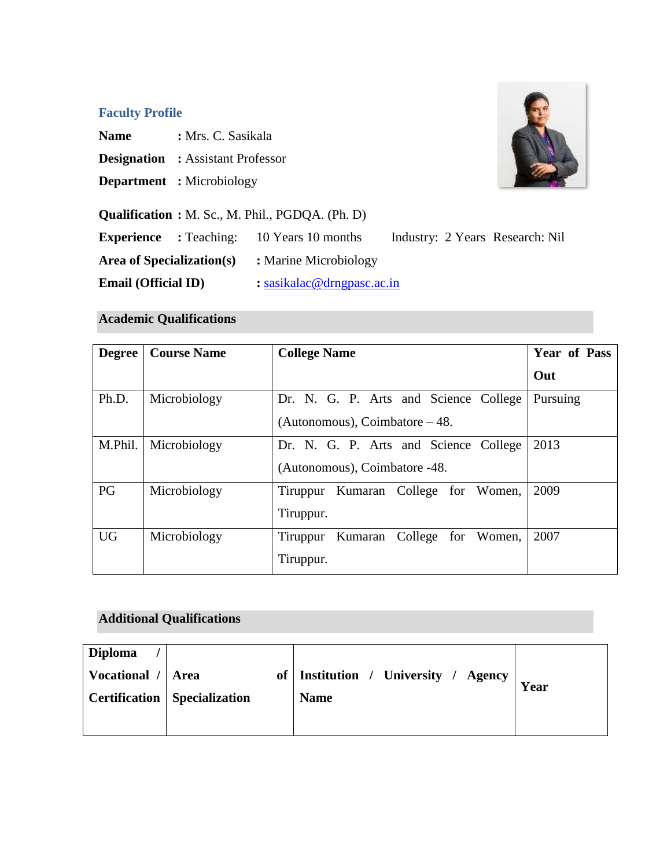## **Faculty Profile**

**Name :** Mrs. C. Sasikala

- **Designation :** Assistant Professor
- **Department :** Microbiology

**Qualification :** M. Sc., M. Phil., PGDQA. (Ph. D)



## **Academic Qualifications**

| <b>Degree</b> | <b>Course Name</b> | <b>College Name</b>                    | <b>Year of Pass</b> |
|---------------|--------------------|----------------------------------------|---------------------|
|               |                    |                                        | Out                 |
| Ph.D.         | Microbiology       | Dr. N. G. P. Arts and Science College  | Pursuing            |
|               |                    | (Autonomous), Coimbatore $-48$ .       |                     |
| M.Phil.       | Microbiology       | Dr. N. G. P. Arts and Science College  | 2013                |
|               |                    | (Autonomous), Coimbatore -48.          |                     |
| PG            | Microbiology       | Tiruppur Kumaran College for Women,    | 2009                |
|               |                    | Tiruppur.                              |                     |
| <b>UG</b>     | Microbiology       | Kumaran College for Women,<br>Tiruppur | 2007                |
|               |                    | Tiruppur.                              |                     |

## **Additional Qualifications**

| <b>Diploma</b>      |                                       |                                        |      |
|---------------------|---------------------------------------|----------------------------------------|------|
| Vocational /   Area |                                       | of   Institution / University / Agency | Year |
|                     | <b>Certification</b>   Specialization | <b>Name</b>                            |      |
|                     |                                       |                                        |      |

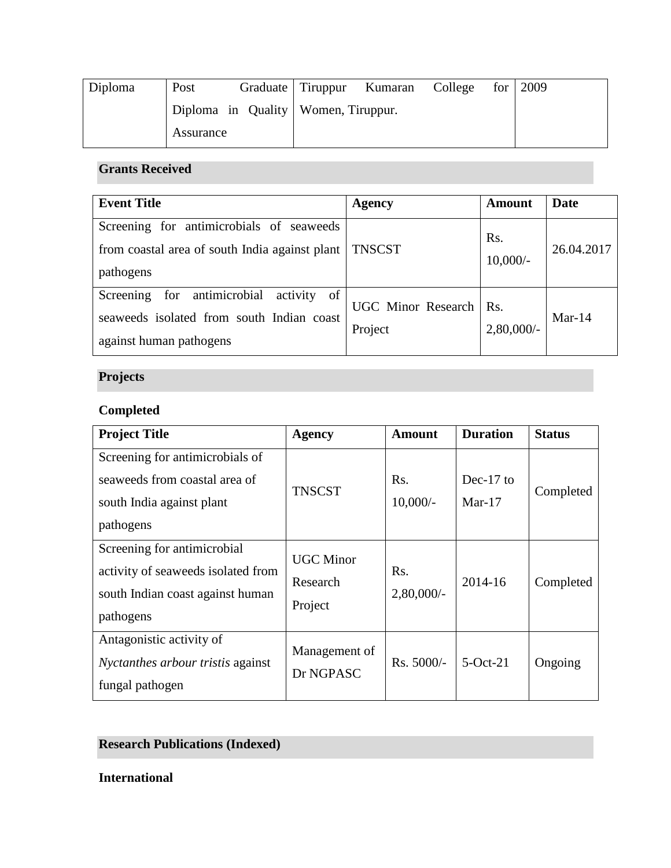| Diploma | Post      |                                       | Graduate Tiruppur Kumaran | College | for $\vert 2009 \vert$ |
|---------|-----------|---------------------------------------|---------------------------|---------|------------------------|
|         |           | Diploma in Quality   Women, Tiruppur. |                           |         |                        |
|         | Assurance |                                       |                           |         |                        |

## **Grants Received**

| <b>Event Title</b>                                                                                                       | <b>Agency</b>                        | Amount               | Date       |
|--------------------------------------------------------------------------------------------------------------------------|--------------------------------------|----------------------|------------|
| Screening for antimicrobials of seaweeds<br>from coastal area of south India against plant<br>pathogens                  | <b>TNSCST</b>                        | Rs.<br>$10,000/-$    | 26.04.2017 |
| for antimicrobial<br>of<br>activity<br>Screening<br>seaweeds isolated from south Indian coast<br>against human pathogens | <b>UGC Minor Research</b><br>Project | Rs.<br>$2,80,000/$ - | $Mar-14$   |

# **Projects**

# **Completed**

| <b>Project Title</b>                                                                                               | <b>Agency</b>                           | <b>Amount</b>        | <b>Duration</b>       | <b>Status</b> |
|--------------------------------------------------------------------------------------------------------------------|-----------------------------------------|----------------------|-----------------------|---------------|
| Screening for antimicrobials of<br>seaweeds from coastal area of<br>south India against plant<br>pathogens         | <b>TNSCST</b>                           | Rs.<br>$10,000/-$    | Dec-17 to<br>$Mar-17$ | Completed     |
| Screening for antimicrobial<br>activity of seaweeds isolated from<br>south Indian coast against human<br>pathogens | <b>UGC Minor</b><br>Research<br>Project | Rs.<br>$2,80,000/$ - | $2014 - 16$           | Completed     |
| Antagonistic activity of<br><i>Nyctanthes arbour tristis against</i><br>fungal pathogen                            | Management of<br>Dr NGPASC              | $Rs. 5000/-$         | $5-Oct-21$            | Ongoing       |

# **Research Publications (Indexed)**

**International**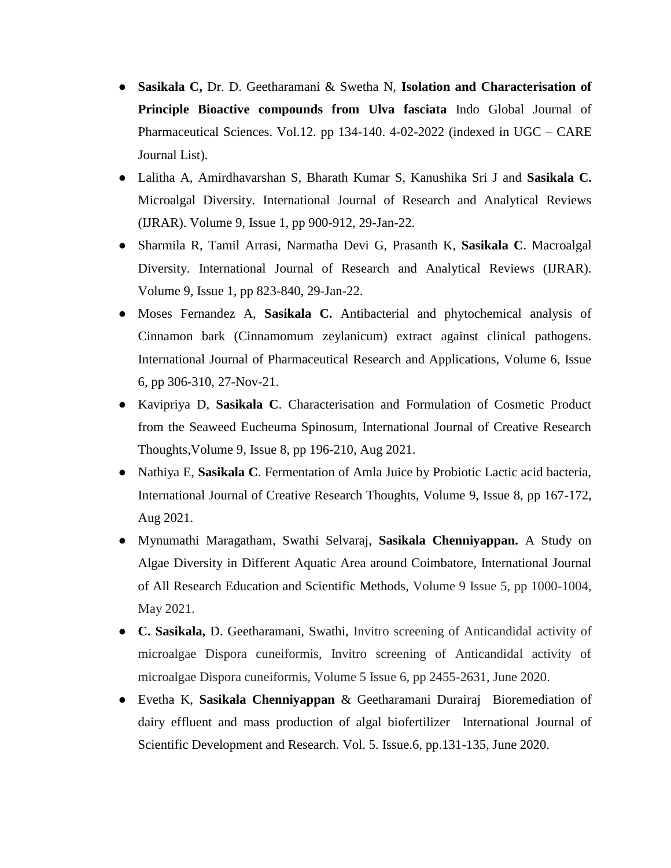- **Sasikala C,** Dr. D. Geetharamani & Swetha N, **Isolation and Characterisation of Principle Bioactive compounds from Ulva fasciata** Indo Global Journal of Pharmaceutical Sciences. Vol.12. pp 134-140. 4-02-2022 (indexed in UGC – CARE Journal List).
- Lalitha A, Amirdhavarshan S, Bharath Kumar S, Kanushika Sri J and **Sasikala C.**  Microalgal Diversity. International Journal of Research and Analytical Reviews (IJRAR). Volume 9, Issue 1, pp 900-912, 29-Jan-22.
- Sharmila R, Tamil Arrasi, Narmatha Devi G, Prasanth K, **Sasikala C**. Macroalgal Diversity. International Journal of Research and Analytical Reviews (IJRAR). Volume 9, Issue 1, pp 823-840, 29-Jan-22.
- Moses Fernandez A, **Sasikala C.** Antibacterial and phytochemical analysis of Cinnamon bark (Cinnamomum zeylanicum) extract against clinical pathogens. International Journal of Pharmaceutical Research and Applications, Volume 6, Issue 6, pp 306-310, 27-Nov-21.
- Kavipriya D, **Sasikala C**. Characterisation and Formulation of Cosmetic Product from the Seaweed Eucheuma Spinosum, International Journal of Creative Research Thoughts,Volume 9, Issue 8, pp 196-210, Aug 2021.
- Nathiya E, **Sasikala C**. Fermentation of Amla Juice by Probiotic Lactic acid bacteria, International Journal of Creative Research Thoughts, Volume 9, Issue 8, pp 167-172, Aug 2021.
- Mynumathi Maragatham, Swathi Selvaraj, **Sasikala Chenniyappan.** A Study on Algae Diversity in Different Aquatic Area around Coimbatore, International Journal of All Research Education and Scientific Methods, Volume 9 Issue 5, pp 1000-1004, May 2021.
- **C. Sasikala,** D. Geetharamani, Swathi, Invitro screening of Anticandidal activity of microalgae Dispora cuneiformis, Invitro screening of Anticandidal activity of microalgae Dispora cuneiformis, Volume 5 Issue 6, pp 2455-2631, June 2020.
- Evetha K, **Sasikala Chenniyappan** & Geetharamani Durairaj Bioremediation of dairy effluent and mass production of algal biofertilizer International Journal of Scientific Development and Research. Vol. 5. Issue.6, pp.131-135, June 2020.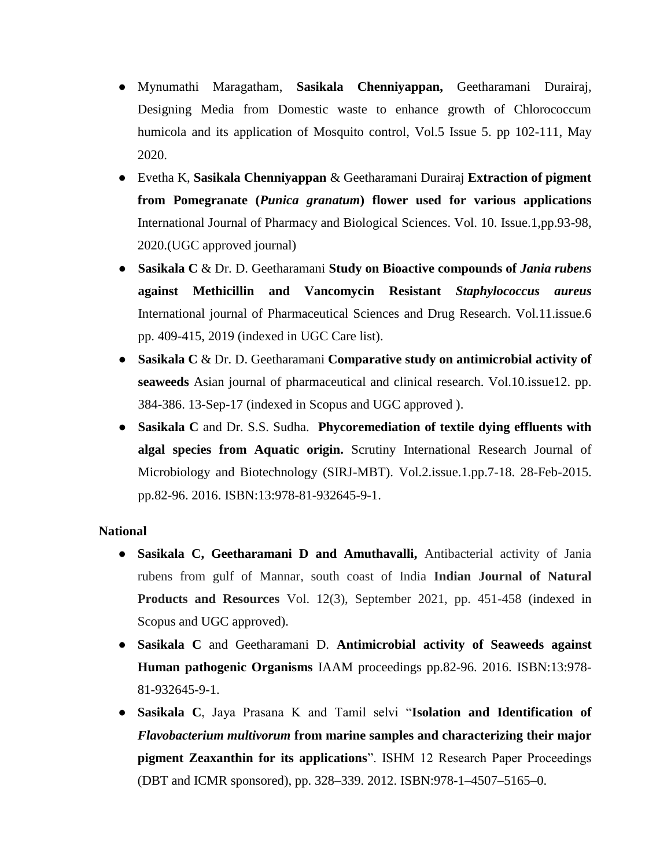- Mynumathi Maragatham, **Sasikala Chenniyappan,** Geetharamani Durairaj, Designing Media from Domestic waste to enhance growth of Chlorococcum humicola and its application of Mosquito control, Vol.5 Issue 5. pp 102-111, May 2020.
- Evetha K, **Sasikala Chenniyappan** & Geetharamani Durairaj **Extraction of pigment from Pomegranate (***Punica granatum***) flower used for various applications**  International Journal of Pharmacy and Biological Sciences. Vol. 10. Issue.1,pp.93-98, 2020.(UGC approved journal)
- **Sasikala C** & Dr. D. Geetharamani **Study on Bioactive compounds of** *Jania rubens* **against Methicillin and Vancomycin Resistant** *Staphylococcus aureus* International journal of Pharmaceutical Sciences and Drug Research. Vol.11.issue.6 pp. 409-415, 2019 (indexed in UGC Care list).
- **Sasikala C** & Dr. D. Geetharamani **Comparative study on antimicrobial activity of seaweeds** Asian journal of pharmaceutical and clinical research. Vol.10.issue12. pp. 384-386. 13-Sep-17 (indexed in Scopus and UGC approved ).
- **Sasikala C** and Dr. S.S. Sudha. **Phycoremediation of textile dying effluents with algal species from Aquatic origin.** Scrutiny International Research Journal of Microbiology and Biotechnology (SIRJ-MBT). Vol.2.issue.1.pp.7-18. 28-Feb-2015. pp.82-96. 2016. ISBN:13:978-81-932645-9-1.

#### **National**

- **Sasikala C, Geetharamani D and Amuthavalli,** Antibacterial activity of Jania rubens from gulf of Mannar, south coast of India **Indian Journal of Natural Products and Resources** Vol. 12(3), September 2021, pp. 451-458 (indexed in Scopus and UGC approved).
- **Sasikala C** and Geetharamani D. **Antimicrobial activity of Seaweeds against Human pathogenic Organisms** IAAM proceedings pp.82-96. 2016. ISBN:13:978- 81-932645-9-1.
- **Sasikala C**, Jaya Prasana K and Tamil selvi "**Isolation and Identification of**  *Flavobacterium multivorum* **from marine samples and characterizing their major pigment Zeaxanthin for its applications**". ISHM 12 Research Paper Proceedings (DBT and ICMR sponsored), pp. 328–339. 2012. ISBN:978-1–4507–5165–0.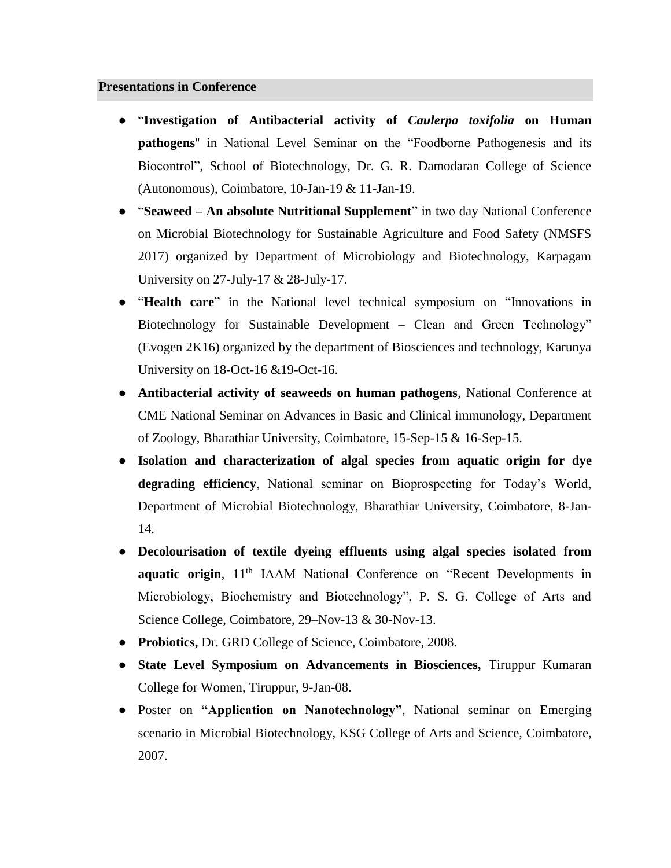#### **Presentations in Conference**

- "**Investigation of Antibacterial activity of** *Caulerpa toxifolia* **on Human pathogens**'' in National Level Seminar on the "Foodborne Pathogenesis and its Biocontrol", School of Biotechnology, Dr. G. R. Damodaran College of Science (Autonomous), Coimbatore, 10-Jan-19 & 11-Jan-19.
- **"Seaweed An absolute Nutritional Supplement"** in two day National Conference on Microbial Biotechnology for Sustainable Agriculture and Food Safety (NMSFS 2017) organized by Department of Microbiology and Biotechnology, Karpagam University on 27-July-17 & 28-July-17.
- **"Health care"** in the National level technical symposium on "Innovations in Biotechnology for Sustainable Development – Clean and Green Technology" (Evogen 2K16) organized by the department of Biosciences and technology, Karunya University on 18-Oct-16 &19-Oct-16.
- **Antibacterial activity of seaweeds on human pathogens**, National Conference at CME National Seminar on Advances in Basic and Clinical immunology, Department of Zoology, Bharathiar University, Coimbatore, 15-Sep-15 & 16-Sep-15.
- **Isolation and characterization of algal species from aquatic origin for dye degrading efficiency**, National seminar on Bioprospecting for Today's World, Department of Microbial Biotechnology, Bharathiar University, Coimbatore, 8-Jan-14.
- **Decolourisation of textile dyeing effluents using algal species isolated from**  aquatic origin, 11<sup>th</sup> IAAM National Conference on "Recent Developments in Microbiology, Biochemistry and Biotechnology", P. S. G. College of Arts and Science College, Coimbatore, 29–Nov-13 & 30-Nov-13.
- **Probiotics,** Dr. GRD College of Science, Coimbatore, 2008.
- **State Level Symposium on Advancements in Biosciences,** Tiruppur Kumaran College for Women, Tiruppur, 9-Jan-08.
- Poster on **"Application on Nanotechnology"**, National seminar on Emerging scenario in Microbial Biotechnology, KSG College of Arts and Science, Coimbatore, 2007.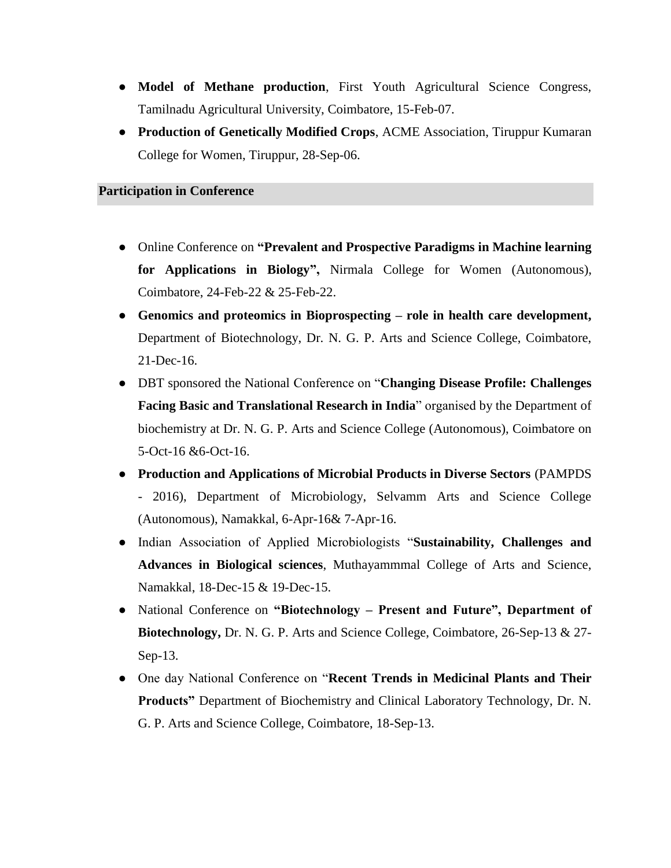- **Model of Methane production**, First Youth Agricultural Science Congress, Tamilnadu Agricultural University, Coimbatore, 15-Feb-07.
- **Production of Genetically Modified Crops**, ACME Association, Tiruppur Kumaran College for Women, Tiruppur, 28-Sep-06.

#### **Participation in Conference**

- Online Conference on **"Prevalent and Prospective Paradigms in Machine learning for Applications in Biology",** Nirmala College for Women (Autonomous), Coimbatore, 24-Feb-22 & 25-Feb-22.
- **Genomics and proteomics in Bioprospecting – role in health care development,** Department of Biotechnology, Dr. N. G. P. Arts and Science College, Coimbatore, 21-Dec-16.
- DBT sponsored the National Conference on "**Changing Disease Profile: Challenges Facing Basic and Translational Research in India**" organised by the Department of biochemistry at Dr. N. G. P. Arts and Science College (Autonomous), Coimbatore on 5-Oct-16 &6-Oct-16.
- **Production and Applications of Microbial Products in Diverse Sectors** (PAMPDS - 2016), Department of Microbiology, Selvamm Arts and Science College (Autonomous), Namakkal, 6-Apr-16& 7-Apr-16.
- Indian Association of Applied Microbiologists "**Sustainability, Challenges and Advances in Biological sciences**, Muthayammmal College of Arts and Science, Namakkal, 18-Dec-15 & 19-Dec-15.
- National Conference on **"Biotechnology – Present and Future", Department of Biotechnology,** Dr. N. G. P. Arts and Science College, Coimbatore, 26-Sep-13 & 27- Sep-13.
- One day National Conference on "**Recent Trends in Medicinal Plants and Their Products"** Department of Biochemistry and Clinical Laboratory Technology, Dr. N. G. P. Arts and Science College, Coimbatore, 18-Sep-13.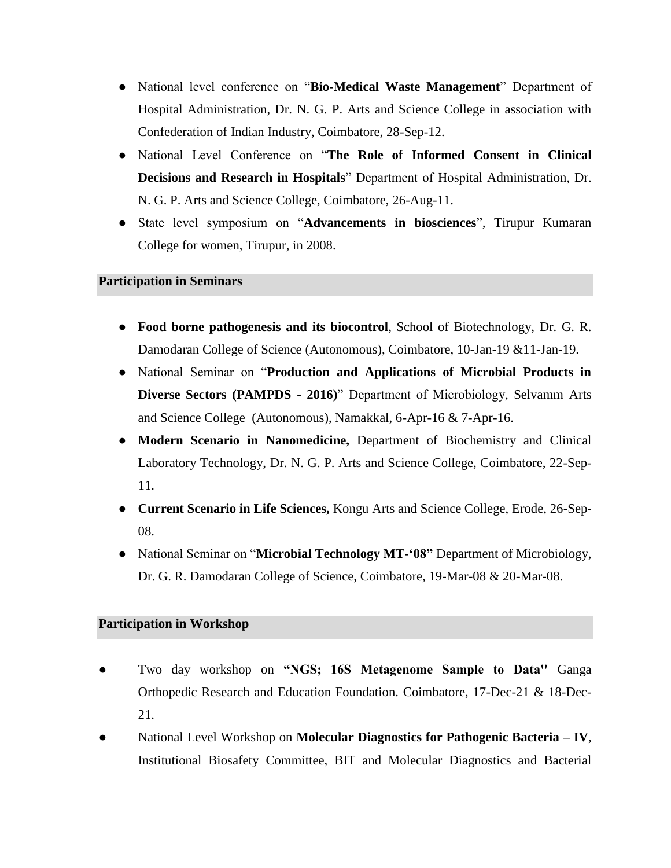- National level conference on "**Bio-Medical Waste Management**" Department of Hospital Administration, Dr. N. G. P. Arts and Science College in association with Confederation of Indian Industry, Coimbatore, 28-Sep-12.
- National Level Conference on "**The Role of Informed Consent in Clinical Decisions and Research in Hospitals**" Department of Hospital Administration, Dr. N. G. P. Arts and Science College, Coimbatore, 26-Aug-11.
- State level symposium on "**Advancements in biosciences**"*,* Tirupur Kumaran College for women, Tirupur, in 2008.

#### **Participation in Seminars**

- **Food borne pathogenesis and its biocontrol**, School of Biotechnology, Dr. G. R. Damodaran College of Science (Autonomous), Coimbatore, 10-Jan-19 &11-Jan-19.
- National Seminar on "**Production and Applications of Microbial Products in Diverse Sectors (PAMPDS - 2016)**" Department of Microbiology, Selvamm Arts and Science College (Autonomous), Namakkal, 6-Apr-16 & 7-Apr-16.
- **Modern Scenario in Nanomedicine,** Department of Biochemistry and Clinical Laboratory Technology, Dr. N. G. P. Arts and Science College, Coimbatore, 22-Sep-11.
- **Current Scenario in Life Sciences,** Kongu Arts and Science College, Erode, 26-Sep-08.
- National Seminar on "**Microbial Technology MT-'08"** Department of Microbiology, Dr. G. R. Damodaran College of Science, Coimbatore, 19-Mar-08 & 20-Mar-08.

## **Participation in Workshop**

- Two day workshop on "NGS; 16S Metagenome Sample to Data" Ganga Orthopedic Research and Education Foundation. Coimbatore, 17-Dec-21 & 18-Dec-21.
- National Level Workshop on **Molecular Diagnostics for Pathogenic Bacteria – IV**, Institutional Biosafety Committee, BIT and Molecular Diagnostics and Bacterial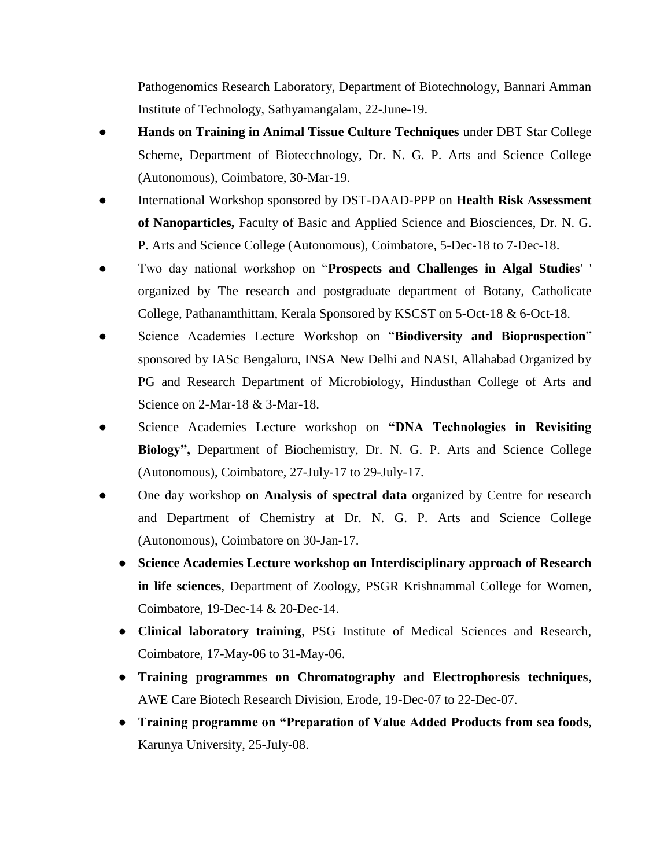Pathogenomics Research Laboratory, Department of Biotechnology, Bannari Amman Institute of Technology, Sathyamangalam, 22-June-19.

- **Hands on Training in Animal Tissue Culture Techniques** under DBT Star College Scheme, Department of Biotecchnology, Dr. N. G. P. Arts and Science College (Autonomous), Coimbatore, 30-Mar-19.
- International Workshop sponsored by DST-DAAD-PPP on **Health Risk Assessment of Nanoparticles,** Faculty of Basic and Applied Science and Biosciences, Dr. N. G. P. Arts and Science College (Autonomous), Coimbatore, 5-Dec-18 to 7-Dec-18.
- Two day national workshop on "**Prospects and Challenges in Algal Studies**' ' organized by The research and postgraduate department of Botany, Catholicate College, Pathanamthittam, Kerala Sponsored by KSCST on 5-Oct-18 & 6-Oct-18.
- Science Academies Lecture Workshop on "**Biodiversity and Bioprospection**" sponsored by IASc Bengaluru, INSA New Delhi and NASI, Allahabad Organized by PG and Research Department of Microbiology, Hindusthan College of Arts and Science on 2-Mar-18 & 3-Mar-18.
- Science Academies Lecture workshop on **"DNA Technologies in Revisiting Biology",** Department of Biochemistry, Dr. N. G. P. Arts and Science College (Autonomous), Coimbatore, 27-July-17 to 29-July-17.
- One day workshop on **Analysis of spectral data** organized by Centre for research and Department of Chemistry at Dr. N. G. P. Arts and Science College (Autonomous), Coimbatore on 30-Jan-17.
	- **Science Academies Lecture workshop on Interdisciplinary approach of Research in life sciences**, Department of Zoology, PSGR Krishnammal College for Women, Coimbatore, 19-Dec-14 & 20-Dec-14.
	- **Clinical laboratory training**, PSG Institute of Medical Sciences and Research, Coimbatore, 17-May-06 to 31-May-06.
	- **Training programmes on Chromatography and Electrophoresis techniques**, AWE Care Biotech Research Division, Erode, 19-Dec-07 to 22-Dec-07.
	- **Training programme on "Preparation of Value Added Products from sea foods**, Karunya University, 25-July-08.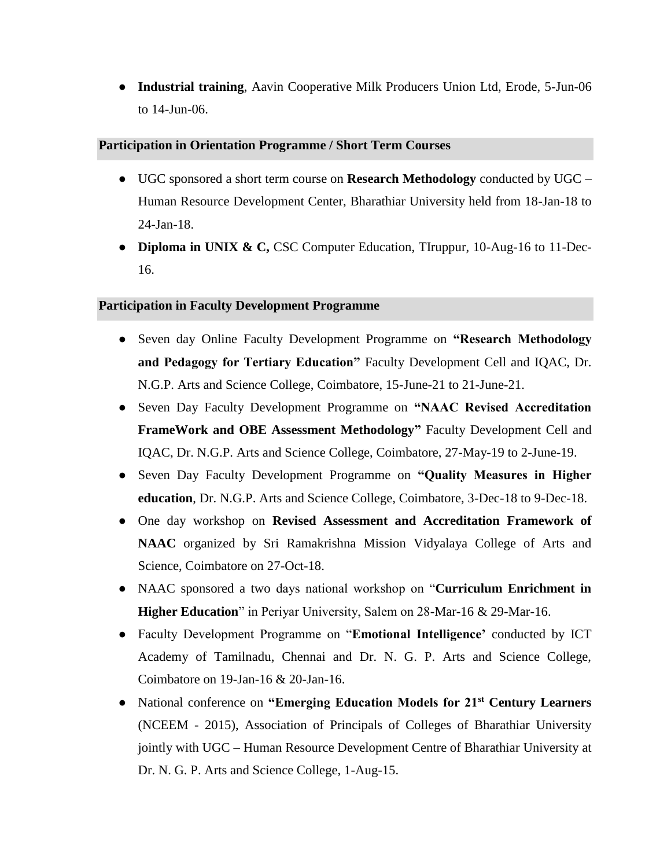● **Industrial training**, Aavin Cooperative Milk Producers Union Ltd, Erode, 5-Jun-06 to 14-Jun-06.

#### **Participation in Orientation Programme / Short Term Courses**

- UGC sponsored a short term course on **Research Methodology** conducted by UGC Human Resource Development Center, Bharathiar University held from 18-Jan-18 to 24-Jan-18.
- **Diploma in UNIX & C,** CSC Computer Education, TIruppur, 10-Aug-16 to 11-Dec-16.

#### **Participation in Faculty Development Programme**

- Seven day Online Faculty Development Programme on **"Research Methodology and Pedagogy for Tertiary Education"** Faculty Development Cell and IQAC, Dr. N.G.P. Arts and Science College, Coimbatore, 15-June-21 to 21-June-21.
- Seven Day Faculty Development Programme on **"NAAC Revised Accreditation FrameWork and OBE Assessment Methodology"** Faculty Development Cell and IQAC, Dr. N.G.P. Arts and Science College, Coimbatore, 27-May-19 to 2-June-19.
- Seven Day Faculty Development Programme on **"Quality Measures in Higher education**, Dr. N.G.P. Arts and Science College, Coimbatore, 3-Dec-18 to 9-Dec-18.
- One day workshop on **Revised Assessment and Accreditation Framework of NAAC** organized by Sri Ramakrishna Mission Vidyalaya College of Arts and Science, Coimbatore on 27-Oct-18.
- NAAC sponsored a two days national workshop on "**Curriculum Enrichment in Higher Education**" in Periyar University, Salem on 28-Mar-16 & 29-Mar-16.
- Faculty Development Programme on "**Emotional Intelligence'** conducted by ICT Academy of Tamilnadu, Chennai and Dr. N. G. P. Arts and Science College, Coimbatore on 19-Jan-16 & 20-Jan-16.
- National conference on **"Emerging Education Models for 21st Century Learners** (NCEEM - 2015), Association of Principals of Colleges of Bharathiar University jointly with UGC – Human Resource Development Centre of Bharathiar University at Dr. N. G. P. Arts and Science College, 1-Aug-15.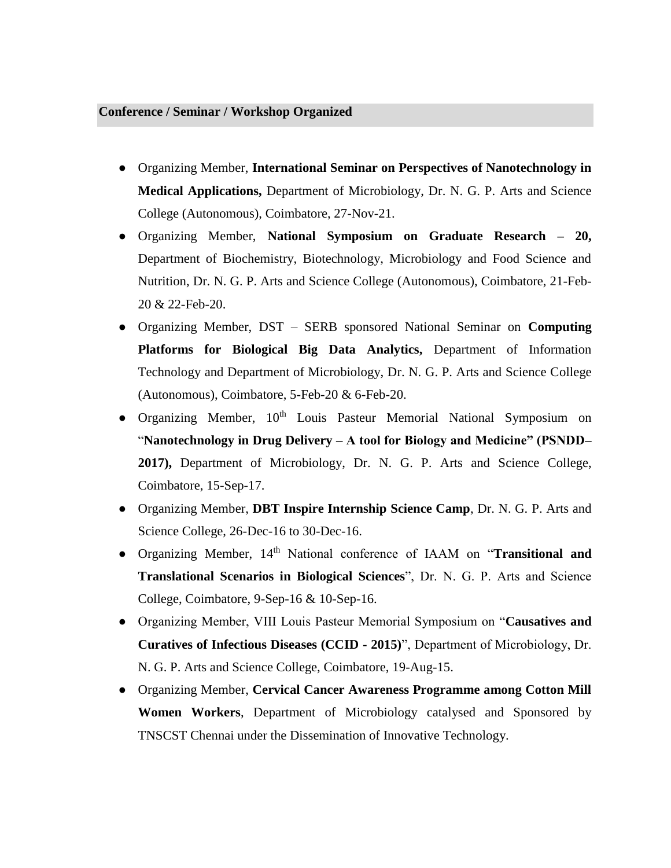#### **Conference / Seminar / Workshop Organized**

- Organizing Member, **International Seminar on Perspectives of Nanotechnology in Medical Applications,** Department of Microbiology, Dr. N. G. P. Arts and Science College (Autonomous), Coimbatore, 27-Nov-21.
- Organizing Member, **National Symposium on Graduate Research – 20,**  Department of Biochemistry, Biotechnology, Microbiology and Food Science and Nutrition, Dr. N. G. P. Arts and Science College (Autonomous), Coimbatore, 21-Feb-20 & 22-Feb-20.
- Organizing Member, DST SERB sponsored National Seminar on **Computing Platforms for Biological Big Data Analytics,** Department of Information Technology and Department of Microbiology, Dr. N. G. P. Arts and Science College (Autonomous), Coimbatore, 5-Feb-20 & 6-Feb-20.
- Organizing Member, 10<sup>th</sup> Louis Pasteur Memorial National Symposium on "**Nanotechnology in Drug Delivery – A tool for Biology and Medicine" (PSNDD– 2017),** Department of Microbiology, Dr. N. G. P. Arts and Science College, Coimbatore, 15-Sep-17.
- Organizing Member, **DBT Inspire Internship Science Camp**, Dr. N. G. P. Arts and Science College, 26-Dec-16 to 30-Dec-16.
- Organizing Member, 14th National conference of IAAM on "**Transitional and Translational Scenarios in Biological Sciences**", Dr. N. G. P. Arts and Science College, Coimbatore, 9-Sep-16 & 10-Sep-16.
- Organizing Member, VIII Louis Pasteur Memorial Symposium on "**Causatives and Curatives of Infectious Diseases (CCID - 2015)**", Department of Microbiology, Dr. N. G. P. Arts and Science College, Coimbatore, 19-Aug-15.
- Organizing Member, **Cervical Cancer Awareness Programme among Cotton Mill Women Workers**, Department of Microbiology catalysed and Sponsored by TNSCST Chennai under the Dissemination of Innovative Technology.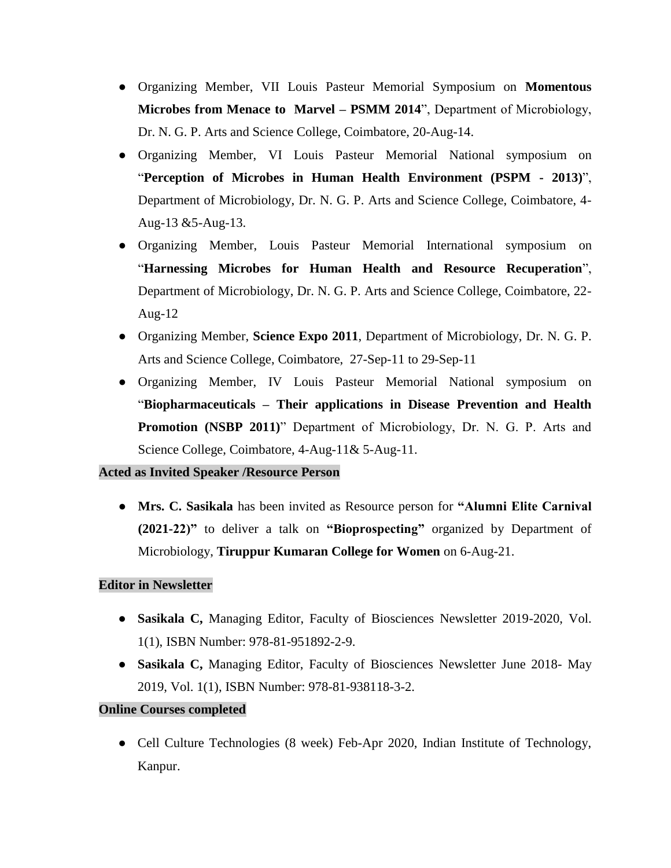- Organizing Member, VII Louis Pasteur Memorial Symposium on **Momentous Microbes from Menace to Marvel – PSMM 2014**", Department of Microbiology, Dr. N. G. P. Arts and Science College, Coimbatore, 20-Aug-14.
- Organizing Member, VI Louis Pasteur Memorial National symposium on "**Perception of Microbes in Human Health Environment (PSPM - 2013)**", Department of Microbiology, Dr. N. G. P. Arts and Science College, Coimbatore, 4- Aug-13 &5-Aug-13.
- Organizing Member, Louis Pasteur Memorial International symposium on "**Harnessing Microbes for Human Health and Resource Recuperation**", Department of Microbiology, Dr. N. G. P. Arts and Science College, Coimbatore, 22- Aug-12
- Organizing Member, **Science Expo 2011**, Department of Microbiology, Dr. N. G. P. Arts and Science College, Coimbatore, 27-Sep-11 to 29-Sep-11
- Organizing Member, IV Louis Pasteur Memorial National symposium on "**Biopharmaceuticals – Their applications in Disease Prevention and Health Promotion (NSBP 2011)**" Department of Microbiology, Dr. N. G. P. Arts and Science College, Coimbatore, 4-Aug-11& 5-Aug-11.

## **Acted as Invited Speaker /Resource Person**

● **Mrs. C. Sasikala** has been invited as Resource person for **"Alumni Elite Carnival (2021-22)"** to deliver a talk on **"Bioprospecting"** organized by Department of Microbiology, **Tiruppur Kumaran College for Women** on 6-Aug-21.

## **Editor in Newsletter**

- **Sasikala C,** Managing Editor, Faculty of Biosciences Newsletter 2019-2020, Vol. 1(1), ISBN Number: 978-81-951892-2-9.
- **Sasikala C,** Managing Editor, Faculty of Biosciences Newsletter June 2018- May 2019, Vol. 1(1), ISBN Number: 978-81-938118-3-2.

## **Online Courses completed**

• Cell Culture Technologies (8 week) Feb-Apr 2020, Indian Institute of Technology, Kanpur.